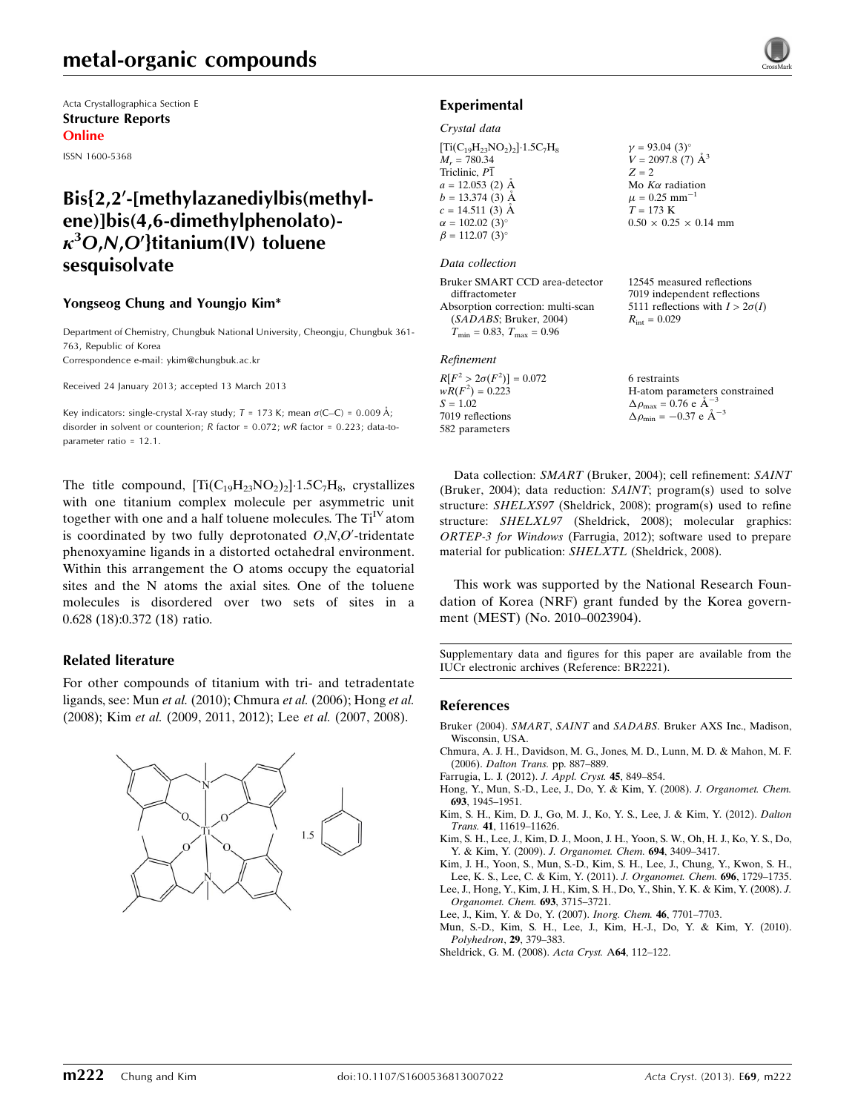# metal-organic compounds

Acta Crystallographica Section E Structure Reports Online

ISSN 1600-5368

# $Bis{2,2'-}$ [methylazanediylbis(methylene)]bis(4,6-dimethylphenolato)-  $\kappa^3$ O,N,O'}titanium(IV) toluene sesquisolvate

### Yongseog Chung and Youngjo Kim\*

Department of Chemistry, Chungbuk National University, Cheongju, Chungbuk 361- 763, Republic of Korea Correspondence e-mail: [ykim@chungbuk.ac.kr](https://scripts.iucr.org/cgi-bin/cr.cgi?rm=pdfbb&cnor=br2221&bbid=BB11)

Received 24 January 2013; accepted 13 March 2013

Key indicators: single-crystal X-ray study;  $T = 173$  K; mean  $\sigma$ (C–C) = 0.009 Å; disorder in solvent or counterion; R factor = 0.072; wR factor = 0.223; data-toparameter ratio = 12.1.

The title compound,  $[\text{Ti}(C_{19}H_{23}NO_2)_2] \cdot 1.5C_7H_8$ , crystallizes with one titanium complex molecule per asymmetric unit together with one and a half toluene molecules. The  $Ti<sup>IV</sup>$  atom is coordinated by two fully deprotonated  $O,N,O'$ -tridentate phenoxyamine ligands in a distorted octahedral environment. Within this arrangement the O atoms occupy the equatorial sites and the N atoms the axial sites. One of the toluene molecules is disordered over two sets of sites in a 0.628 (18):0.372 (18) ratio.

### Related literature

For other compounds of titanium with tri- and tetradentate ligands, see: Mun et al. (2010); Chmura et al. (2006); Hong et al. (2008); Kim et al. (2009, 2011, 2012); Lee et al. (2007, 2008).



### Experimental

#### Crystal data

 $[Ti(C_{19}H_{23}NO_{2})_{2}]$ -1.5C<sub>7</sub>H<sub>8</sub>  $M_r = 780.34$ Triclinic, P1  $a = 12.053$  (2) Å  $b = 13.374(3)$  Å  $c = 14.511(3)$  Å  $\alpha = 102.02$  (3)<sup>o</sup>  $\beta = 112.07$  (3)<sup>o</sup>  $v = 93.04$  (3)<sup>o</sup>  $V = 2097.8$  (7)  $\AA^3$  $Z = 2$ Mo  $K\alpha$  radiation  $\mu$  = 0.25 mm<sup>-1</sup>  $T = 173$  K  $0.50 \times 0.25 \times 0.14$  mm

#### Data collection

| Bruker SMART CCD area-detector     | 12545 measured reflections             |
|------------------------------------|----------------------------------------|
| diffractometer                     | 7019 independent reflections           |
| Absorption correction: multi-scan  | 5111 reflections with $I > 2\sigma(I)$ |
| (SADABS; Bruker, 2004)             | $R_{\rm int} = 0.029$                  |
| $T_{\min} = 0.83, T_{\max} = 0.96$ |                                        |
|                                    |                                        |

### Refinement

 $R[F^2 > 2\sigma(F^2)] = 0.072$ <br>  $wR(F^2) = 0.223$  $S = 1.02$ 7019 reflections 582 parameters

6 restraints

H-atom parameters constrained  $\Delta \rho_{\text{max}} = 0.76 \text{ e A}^{-3}$  $\Delta \rho_{\text{min}} = -0.37 \text{ e } \text{\AA}^{-3}$ 

Data collection: SMART (Bruker, 2004); cell refinement: SAINT (Bruker, 2004); data reduction: SAINT; program(s) used to solve structure: SHELXS97 (Sheldrick, 2008); program(s) used to refine structure: SHELXL97 (Sheldrick, 2008); molecular graphics: ORTEP-3 for Windows (Farrugia, 2012); software used to prepare material for publication: SHELXTL (Sheldrick, 2008).

This work was supported by the National Research Foundation of Korea (NRF) grant funded by the Korea government (MEST) (No. 2010–0023904).

Supplementary data and figures for this paper are available from the IUCr electronic archives (Reference: BR2221).

#### References

- Bruker (2004). SMART, SAINT and SADABS[. Bruker AXS Inc., Madison,](https://scripts.iucr.org/cgi-bin/cr.cgi?rm=pdfbb&cnor=br2221&bbid=BB1) [Wisconsin, USA.](https://scripts.iucr.org/cgi-bin/cr.cgi?rm=pdfbb&cnor=br2221&bbid=BB1)
- [Chmura, A. J. H., Davidson, M. G., Jones, M. D., Lunn, M. D. & Mahon, M. F.](https://scripts.iucr.org/cgi-bin/cr.cgi?rm=pdfbb&cnor=br2221&bbid=BB2) (2006). [Dalton Trans.](https://scripts.iucr.org/cgi-bin/cr.cgi?rm=pdfbb&cnor=br2221&bbid=BB2) pp. 887–889.
- [Farrugia, L. J. \(2012\).](https://scripts.iucr.org/cgi-bin/cr.cgi?rm=pdfbb&cnor=br2221&bbid=BB3) J. Appl. Cryst. 45, 849–854.
- [Hong, Y., Mun, S.-D., Lee, J., Do, Y. & Kim, Y. \(2008\).](https://scripts.iucr.org/cgi-bin/cr.cgi?rm=pdfbb&cnor=br2221&bbid=BB4) J. Organomet. Chem. 693[, 1945–1951.](https://scripts.iucr.org/cgi-bin/cr.cgi?rm=pdfbb&cnor=br2221&bbid=BB4)
- [Kim, S. H., Kim, D. J., Go, M. J., Ko, Y. S., Lee, J. & Kim, Y. \(2012\).](https://scripts.iucr.org/cgi-bin/cr.cgi?rm=pdfbb&cnor=br2221&bbid=BB5) Dalton Trans. 41[, 11619–11626.](https://scripts.iucr.org/cgi-bin/cr.cgi?rm=pdfbb&cnor=br2221&bbid=BB5)

[Kim, S. H., Lee, J., Kim, D. J., Moon, J. H., Yoon, S. W., Oh, H. J., Ko, Y. S., Do,](https://scripts.iucr.org/cgi-bin/cr.cgi?rm=pdfbb&cnor=br2221&bbid=BB6) Y. & Kim, Y. (2009). [J. Organomet. Chem.](https://scripts.iucr.org/cgi-bin/cr.cgi?rm=pdfbb&cnor=br2221&bbid=BB6) 694, 3409–3417.

[Kim, J. H., Yoon, S., Mun, S.-D., Kim, S. H., Lee, J., Chung, Y., Kwon, S. H.,](https://scripts.iucr.org/cgi-bin/cr.cgi?rm=pdfbb&cnor=br2221&bbid=BB7) [Lee, K. S., Lee, C. & Kim, Y. \(2011\).](https://scripts.iucr.org/cgi-bin/cr.cgi?rm=pdfbb&cnor=br2221&bbid=BB7) J. Organomet. Chem. 696, 1729–1735.

[Lee, J., Hong, Y., Kim, J. H., Kim, S. H., Do, Y., Shin, Y. K. & Kim, Y. \(2008\).](https://scripts.iucr.org/cgi-bin/cr.cgi?rm=pdfbb&cnor=br2221&bbid=BB8) J. [Organomet. Chem.](https://scripts.iucr.org/cgi-bin/cr.cgi?rm=pdfbb&cnor=br2221&bbid=BB8) 693, 3715–3721.

[Lee, J., Kim, Y. & Do, Y. \(2007\).](https://scripts.iucr.org/cgi-bin/cr.cgi?rm=pdfbb&cnor=br2221&bbid=BB9) Inorg. Chem. 46, 7701–7703.

[Mun, S.-D., Kim, S. H., Lee, J., Kim, H.-J., Do, Y. & Kim, Y. \(2010\).](https://scripts.iucr.org/cgi-bin/cr.cgi?rm=pdfbb&cnor=br2221&bbid=BB10) [Polyhedron](https://scripts.iucr.org/cgi-bin/cr.cgi?rm=pdfbb&cnor=br2221&bbid=BB10), 29, 379–383.

[Sheldrick, G. M. \(2008\).](https://scripts.iucr.org/cgi-bin/cr.cgi?rm=pdfbb&cnor=br2221&bbid=BB11) Acta Cryst. A64, 112–122.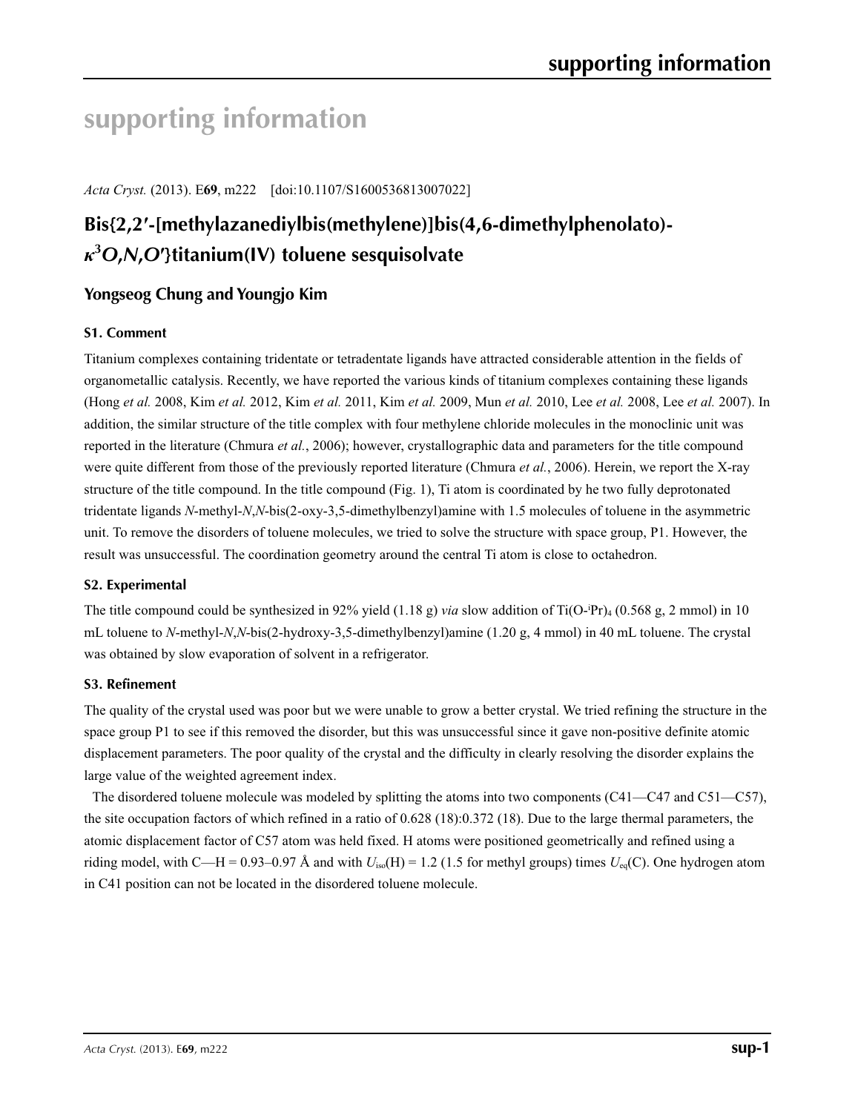# **supporting information**

*Acta Cryst.* (2013). E**69**, m222 [doi:10.1107/S1600536813007022]

# **Bis{2,2′-[methylazanediylbis(methylene)]bis(4,6-dimethylphenolato)** *κ***3** *O***,***N***,***O***′}titanium(IV) toluene sesquisolvate**

## **Yongseog Chung and Youngjo Kim**

### **S1. Comment**

Titanium complexes containing tridentate or tetradentate ligands have attracted considerable attention in the fields of organometallic catalysis. Recently, we have reported the various kinds of titanium complexes containing these ligands (Hong *et al.* 2008, Kim *et al.* 2012, Kim *et al.* 2011, Kim *et al.* 2009, Mun *et al.* 2010, Lee *et al.* 2008, Lee *et al.* 2007). In addition, the similar structure of the title complex with four methylene chloride molecules in the monoclinic unit was reported in the literature (Chmura *et al.*, 2006); however, crystallographic data and parameters for the title compound were quite different from those of the previously reported literature (Chmura *et al.*, 2006). Herein, we report the X-ray structure of the title compound. In the title compound (Fig. 1), Ti atom is coordinated by he two fully deprotonated tridentate ligands *N*-methyl-*N*,*N*-bis(2-oxy-3,5-dimethylbenzyl)amine with 1.5 molecules of toluene in the asymmetric unit. To remove the disorders of toluene molecules, we tried to solve the structure with space group, P1. However, the result was unsuccessful. The coordination geometry around the central Ti atom is close to octahedron.

### **S2. Experimental**

The title compound could be synthesized in 92% yield (1.18 g) *via* slow addition of Ti(O-Pr)<sub>4</sub> (0.568 g, 2 mmol) in 10 mL toluene to *N*-methyl-*N*,*N*-bis(2-hydroxy-3,5-dimethylbenzyl)amine (1.20 g, 4 mmol) in 40 mL toluene. The crystal was obtained by slow evaporation of solvent in a refrigerator.

### **S3. Refinement**

The quality of the crystal used was poor but we were unable to grow a better crystal. We tried refining the structure in the space group P1 to see if this removed the disorder, but this was unsuccessful since it gave non-positive definite atomic displacement parameters. The poor quality of the crystal and the difficulty in clearly resolving the disorder explains the large value of the weighted agreement index.

The disordered toluene molecule was modeled by splitting the atoms into two components (C41—C47 and C51—C57), the site occupation factors of which refined in a ratio of 0.628 (18):0.372 (18). Due to the large thermal parameters, the atomic displacement factor of C57 atom was held fixed. H atoms were positioned geometrically and refined using a riding model, with C—H = 0.93–0.97 Å and with  $U_{\text{iso}}(H) = 1.2$  (1.5 for methyl groups) times  $U_{\text{eq}}(C)$ . One hydrogen atom in C41 position can not be located in the disordered toluene molecule.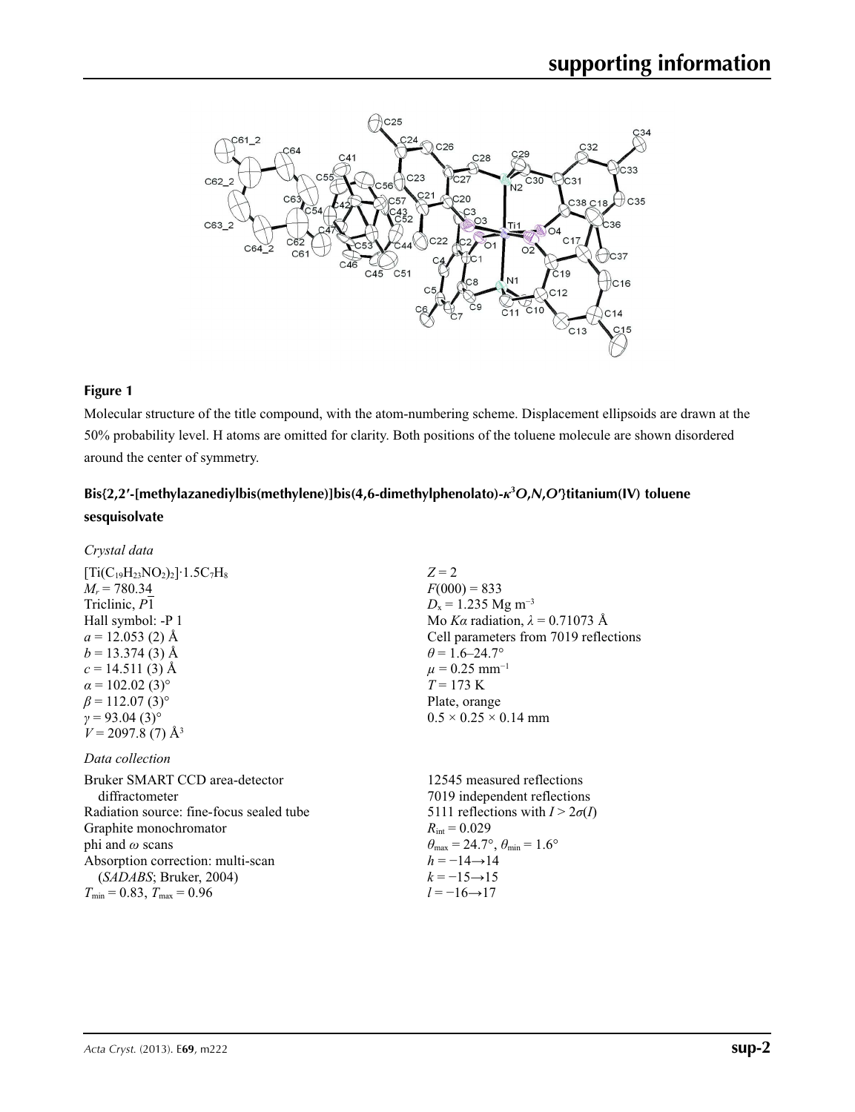

### **Figure 1**

Molecular structure of the title compound, with the atom-numbering scheme. Displacement ellipsoids are drawn at the 50% probability level. H atoms are omitted for clarity. Both positions of the toluene molecule are shown disordered around the center of symmetry.

## **Bis{2,2′-[methylazanediylbis(methylene)]bis(4,6-dimethylphenolato)-***κ***<sup>3</sup>** *O***,***N***,***O***′}titanium(IV) toluene sesquisolvate**

| Crystal data                                                                                                                                                                                                                                                                                             |                                                                                                                                                                                                                                                                                                 |
|----------------------------------------------------------------------------------------------------------------------------------------------------------------------------------------------------------------------------------------------------------------------------------------------------------|-------------------------------------------------------------------------------------------------------------------------------------------------------------------------------------------------------------------------------------------------------------------------------------------------|
| $[Ti(C_{19}H_{23}NO_2)_2] \cdot 1.5C_7H_8$<br>$M_r = 780.34$<br>Triclinic, P1<br>Hall symbol: -P 1<br>$a = 12.053$ (2) Å<br>$b = 13.374(3)$ Å<br>$c = 14.511(3)$ Å<br>$\alpha$ = 102.02 (3) <sup>o</sup><br>$\beta$ = 112.07 (3) <sup>o</sup><br>$\gamma = 93.04(3)$ °<br>$V = 2097.8(7)$ Å <sup>3</sup> | $Z = 2$<br>$F(000) = 833$<br>$D_x = 1.235$ Mg m <sup>-3</sup><br>Mo Ka radiation, $\lambda = 0.71073$ Å<br>Cell parameters from 7019 reflections<br>$\theta$ = 1.6–24.7°<br>$\mu = 0.25$ mm <sup>-1</sup><br>$T = 173 \text{ K}$<br>Plate, orange<br>$0.5 \times 0.25 \times 0.14$ mm           |
| Data collection<br>Bruker SMART CCD area-detector<br>diffractometer<br>Radiation source: fine-focus sealed tube<br>Graphite monochromator<br>phi and $\omega$ scans<br>Absorption correction: multi-scan<br>(SADABS; Bruker, 2004)<br>$T_{\min} = 0.83$ , $T_{\max} = 0.96$                              | 12545 measured reflections<br>7019 independent reflections<br>5111 reflections with $I > 2\sigma(I)$<br>$R_{\text{int}} = 0.029$<br>$\theta_{\text{max}} = 24.7^{\circ}, \theta_{\text{min}} = 1.6^{\circ}$<br>$h = -14 \rightarrow 14$<br>$k = -15 \rightarrow 15$<br>$l = -16 \rightarrow 17$ |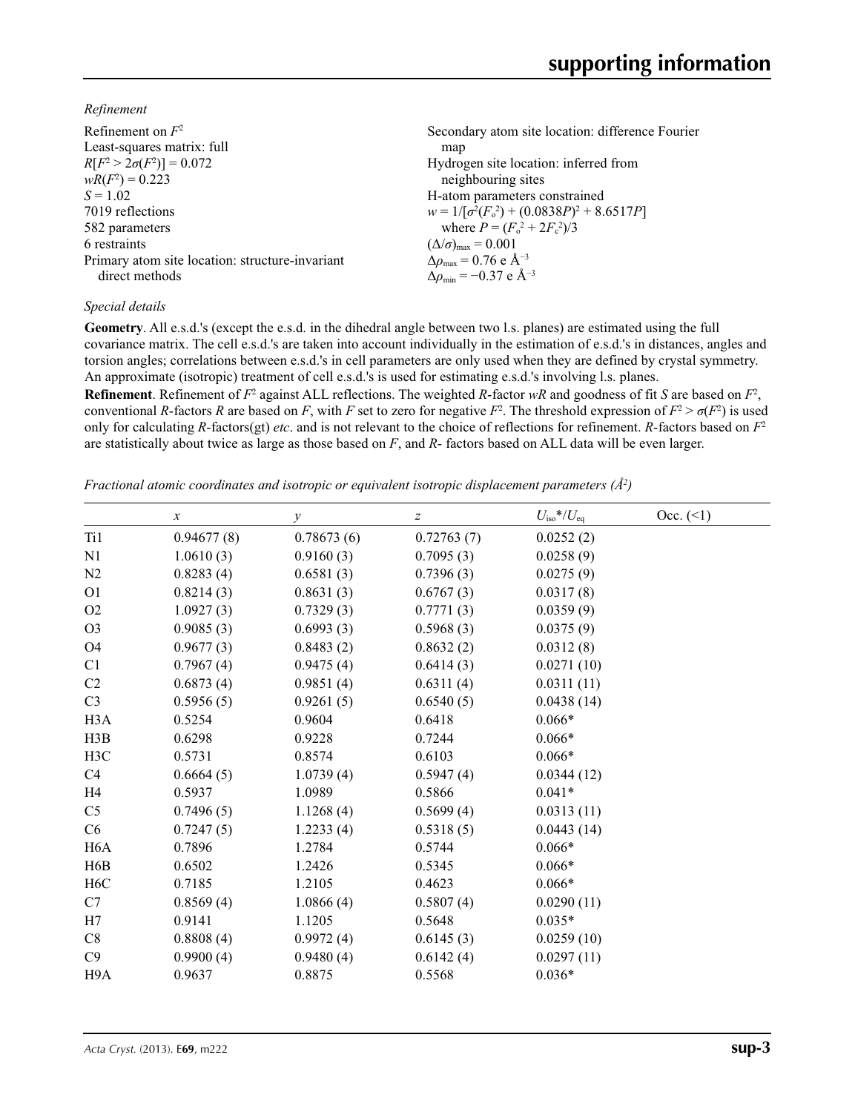*Refinement*

| Refinement on $F^2$                             | Secondary atom site location: difference Fourier  |
|-------------------------------------------------|---------------------------------------------------|
| Least-squares matrix: full                      | map                                               |
| $R[F^2 > 2\sigma(F^2)] = 0.072$                 | Hydrogen site location: inferred from             |
| $wR(F^2) = 0.223$                               | neighbouring sites                                |
| $S = 1.02$                                      | H-atom parameters constrained                     |
| 7019 reflections                                | $w = 1/[\sigma^2(F_0^2) + (0.0838P)^2 + 8.6517P]$ |
| 582 parameters                                  | where $P = (F_o^2 + 2F_c^2)/3$                    |
| 6 restraints                                    | $(\Delta/\sigma)_{\text{max}} = 0.001$            |
| Primary atom site location: structure-invariant | $\Delta \rho_{\rm max} = 0.76$ e Å <sup>-3</sup>  |
| direct methods                                  | $\Delta \rho_{\rm min} = -0.37 \text{ e A}^{-3}$  |
|                                                 |                                                   |

### *Special details*

**Geometry**. All e.s.d.'s (except the e.s.d. in the dihedral angle between two l.s. planes) are estimated using the full covariance matrix. The cell e.s.d.'s are taken into account individually in the estimation of e.s.d.'s in distances, angles and torsion angles; correlations between e.s.d.'s in cell parameters are only used when they are defined by crystal symmetry. An approximate (isotropic) treatment of cell e.s.d.'s is used for estimating e.s.d.'s involving l.s. planes.

**Refinement**. Refinement of  $F^2$  against ALL reflections. The weighted *R*-factor  $wR$  and goodness of fit *S* are based on  $F^2$ , conventional *R*-factors *R* are based on *F*, with *F* set to zero for negative *F*<sup>2</sup>. The threshold expression of  $F^2 > \sigma(F^2)$  is used only for calculating *R*-factors(gt) *etc*. and is not relevant to the choice of reflections for refinement. *R*-factors based on *F*<sup>2</sup> are statistically about twice as large as those based on *F*, and *R*- factors based on ALL data will be even larger.

*Fractional atomic coordinates and isotropic or equivalent isotropic displacement parameters (Å2 )*

|                  | $\boldsymbol{x}$ | $\mathcal{Y}$ | $\boldsymbol{Z}$ | $U_{\rm iso}$ */ $U_{\rm eq}$ | Occ. (2) |
|------------------|------------------|---------------|------------------|-------------------------------|----------|
| Ti1              | 0.94677(8)       | 0.78673(6)    | 0.72763(7)       | 0.0252(2)                     |          |
| N <sub>1</sub>   | 1.0610(3)        | 0.9160(3)     | 0.7095(3)        | 0.0258(9)                     |          |
| N2               | 0.8283(4)        | 0.6581(3)     | 0.7396(3)        | 0.0275(9)                     |          |
| O <sub>1</sub>   | 0.8214(3)        | 0.8631(3)     | 0.6767(3)        | 0.0317(8)                     |          |
| O2               | 1.0927(3)        | 0.7329(3)     | 0.7771(3)        | 0.0359(9)                     |          |
| O <sub>3</sub>   | 0.9085(3)        | 0.6993(3)     | 0.5968(3)        | 0.0375(9)                     |          |
| O <sub>4</sub>   | 0.9677(3)        | 0.8483(2)     | 0.8632(2)        | 0.0312(8)                     |          |
| C1               | 0.7967(4)        | 0.9475(4)     | 0.6414(3)        | 0.0271(10)                    |          |
| C <sub>2</sub>   | 0.6873(4)        | 0.9851(4)     | 0.6311(4)        | 0.0311(11)                    |          |
| C <sub>3</sub>   | 0.5956(5)        | 0.9261(5)     | 0.6540(5)        | 0.0438(14)                    |          |
| H <sub>3</sub> A | 0.5254           | 0.9604        | 0.6418           | $0.066*$                      |          |
| H3B              | 0.6298           | 0.9228        | 0.7244           | $0.066*$                      |          |
| H3C              | 0.5731           | 0.8574        | 0.6103           | $0.066*$                      |          |
| C <sub>4</sub>   | 0.6664(5)        | 1.0739(4)     | 0.5947(4)        | 0.0344(12)                    |          |
| H4               | 0.5937           | 1.0989        | 0.5866           | $0.041*$                      |          |
| C <sub>5</sub>   | 0.7496(5)        | 1.1268(4)     | 0.5699(4)        | 0.0313(11)                    |          |
| C6               | 0.7247(5)        | 1.2233(4)     | 0.5318(5)        | 0.0443(14)                    |          |
| H <sub>6</sub> A | 0.7896           | 1.2784        | 0.5744           | $0.066*$                      |          |
| H <sub>6</sub> B | 0.6502           | 1.2426        | 0.5345           | $0.066*$                      |          |
| H <sub>6</sub> C | 0.7185           | 1.2105        | 0.4623           | $0.066*$                      |          |
| C7               | 0.8569(4)        | 1.0866(4)     | 0.5807(4)        | 0.0290(11)                    |          |
| H7               | 0.9141           | 1.1205        | 0.5648           | $0.035*$                      |          |
| C8               | 0.8808(4)        | 0.9972(4)     | 0.6145(3)        | 0.0259(10)                    |          |
| C9               | 0.9900(4)        | 0.9480(4)     | 0.6142(4)        | 0.0297(11)                    |          |
| H <sub>9</sub> A | 0.9637           | 0.8875        | 0.5568           | $0.036*$                      |          |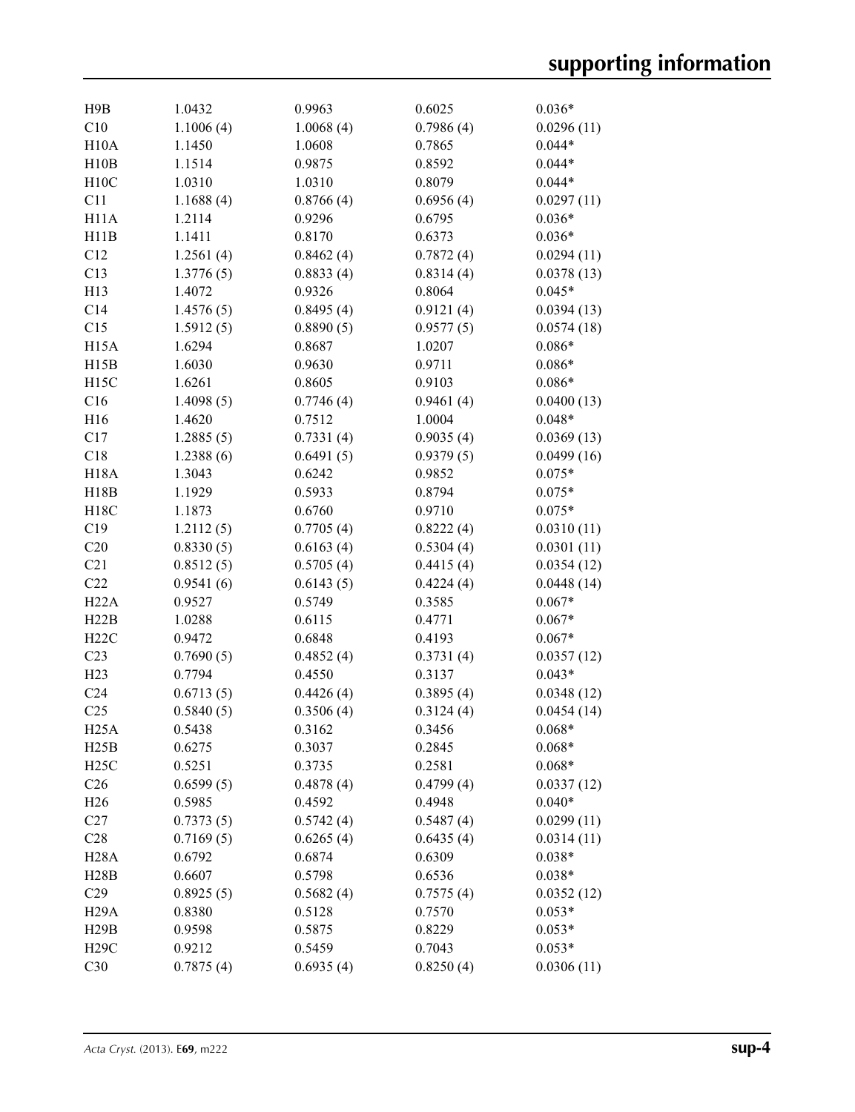| H9B               | 1.0432    | 0.9963    | 0.6025    | $0.036*$   |
|-------------------|-----------|-----------|-----------|------------|
| C10               | 1.1006(4) | 1.0068(4) | 0.7986(4) | 0.0296(11) |
| H10A              | 1.1450    | 1.0608    | 0.7865    | $0.044*$   |
| H10B              | 1.1514    | 0.9875    | 0.8592    | $0.044*$   |
| H10C              | 1.0310    | 1.0310    | 0.8079    | $0.044*$   |
| C11               | 1.1688(4) | 0.8766(4) | 0.6956(4) | 0.0297(11) |
| H11A              | 1.2114    | 0.9296    | 0.6795    | $0.036*$   |
| H11B              | 1.1411    | 0.8170    | 0.6373    | $0.036*$   |
| C12               | 1.2561(4) | 0.8462(4) | 0.7872(4) | 0.0294(11) |
| C13               | 1.3776(5) | 0.8833(4) | 0.8314(4) | 0.0378(13) |
| H13               | 1.4072    | 0.9326    | 0.8064    | $0.045*$   |
| C14               | 1.4576(5) | 0.8495(4) | 0.9121(4) | 0.0394(13) |
| C15               | 1.5912(5) | 0.8890(5) | 0.9577(5) | 0.0574(18) |
| H <sub>15</sub> A | 1.6294    | 0.8687    | 1.0207    | $0.086*$   |
| H15B              | 1.6030    | 0.9630    | 0.9711    | $0.086*$   |
| H <sub>15</sub> C | 1.6261    | 0.8605    | 0.9103    | $0.086*$   |
| C16               | 1.4098(5) | 0.7746(4) | 0.9461(4) | 0.0400(13) |
| H16               | 1.4620    | 0.7512    | 1.0004    | $0.048*$   |
| C17               | 1.2885(5) | 0.7331(4) | 0.9035(4) | 0.0369(13) |
| C18               | 1.2388(6) | 0.6491(5) | 0.9379(5) | 0.0499(16) |
| <b>H18A</b>       | 1.3043    | 0.6242    | 0.9852    | $0.075*$   |
| H18B              | 1.1929    | 0.5933    | 0.8794    | $0.075*$   |
| H18C              | 1.1873    | 0.6760    | 0.9710    | $0.075*$   |
| C19               | 1.2112(5) | 0.7705(4) | 0.8222(4) | 0.0310(11) |
| C20               | 0.8330(5) | 0.6163(4) | 0.5304(4) | 0.0301(11) |
| C21               | 0.8512(5) | 0.5705(4) | 0.4415(4) | 0.0354(12) |
| C22               | 0.9541(6) | 0.6143(5) | 0.4224(4) | 0.0448(14) |
| H22A              | 0.9527    | 0.5749    | 0.3585    | $0.067*$   |
| H22B              | 1.0288    | 0.6115    | 0.4771    | $0.067*$   |
| H22C              | 0.9472    | 0.6848    | 0.4193    | $0.067*$   |
| C23               | 0.7690(5) | 0.4852(4) | 0.3731(4) | 0.0357(12) |
| H23               | 0.7794    | 0.4550    | 0.3137    | $0.043*$   |
| C <sub>24</sub>   | 0.6713(5) | 0.4426(4) | 0.3895(4) | 0.0348(12) |
| C <sub>25</sub>   | 0.5840(5) | 0.3506(4) | 0.3124(4) | 0.0454(14) |
| H25A              | 0.5438    | 0.3162    | 0.3456    | $0.068*$   |
| H25B              | 0.6275    | 0.3037    | 0.2845    | $0.068*$   |
| H25C              | 0.5251    | 0.3735    | 0.2581    | $0.068*$   |
| C <sub>26</sub>   | 0.6599(5) | 0.4878(4) | 0.4799(4) | 0.0337(12) |
| H <sub>26</sub>   | 0.5985    | 0.4592    | 0.4948    | $0.040*$   |
| C27               | 0.7373(5) | 0.5742(4) | 0.5487(4) | 0.0299(11) |
| C28               | 0.7169(5) | 0.6265(4) | 0.6435(4) | 0.0314(11) |
| <b>H28A</b>       | 0.6792    | 0.6874    | 0.6309    | $0.038*$   |
| H28B              | 0.6607    | 0.5798    | 0.6536    | $0.038*$   |
| C29               | 0.8925(5) | 0.5682(4) | 0.7575(4) | 0.0352(12) |
| H <sub>29</sub> A | 0.8380    | 0.5128    | 0.7570    | $0.053*$   |
| H29B              | 0.9598    | 0.5875    | 0.8229    | $0.053*$   |
| <b>H29C</b>       | 0.9212    | 0.5459    | 0.7043    | $0.053*$   |
| C30               | 0.7875(4) | 0.6935(4) | 0.8250(4) | 0.0306(11) |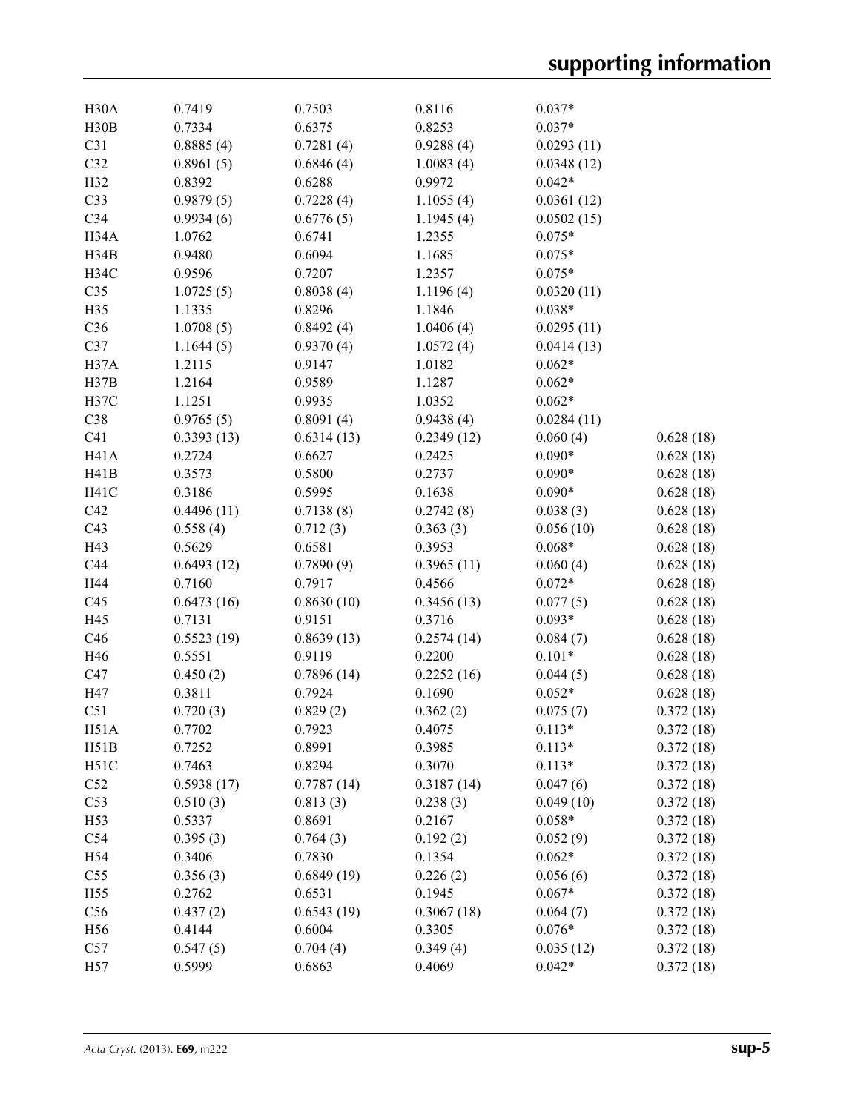| H <sub>30</sub> A | 0.7419     | 0.7503     | 0.8116     | $0.037*$   |           |
|-------------------|------------|------------|------------|------------|-----------|
| H30B              | 0.7334     | 0.6375     | 0.8253     | $0.037*$   |           |
| C31               | 0.8885(4)  | 0.7281(4)  | 0.9288(4)  | 0.0293(11) |           |
| C32               | 0.8961(5)  | 0.6846(4)  | 1.0083(4)  | 0.0348(12) |           |
| H32               | 0.8392     | 0.6288     | 0.9972     | $0.042*$   |           |
| C33               | 0.9879(5)  | 0.7228(4)  | 1.1055(4)  | 0.0361(12) |           |
| C34               | 0.9934(6)  | 0.6776(5)  | 1.1945(4)  | 0.0502(15) |           |
| H34A              | 1.0762     | 0.6741     | 1.2355     | $0.075*$   |           |
| H34B              | 0.9480     | 0.6094     | 1.1685     | $0.075*$   |           |
| H34C              | 0.9596     | 0.7207     | 1.2357     | $0.075*$   |           |
| C35               | 1.0725(5)  | 0.8038(4)  | 1.1196(4)  | 0.0320(11) |           |
| H35               | 1.1335     | 0.8296     | 1.1846     | $0.038*$   |           |
| C36               | 1.0708(5)  | 0.8492(4)  | 1.0406(4)  | 0.0295(11) |           |
| C37               | 1.1644(5)  | 0.9370(4)  | 1.0572(4)  | 0.0414(13) |           |
| H37A              | 1.2115     | 0.9147     | 1.0182     | $0.062*$   |           |
| H37B              | 1.2164     | 0.9589     | 1.1287     | $0.062*$   |           |
| H37C              | 1.1251     | 0.9935     | 1.0352     | $0.062*$   |           |
| C38               | 0.9765(5)  | 0.8091(4)  | 0.9438(4)  | 0.0284(11) |           |
| C <sub>41</sub>   | 0.3393(13) | 0.6314(13) | 0.2349(12) | 0.060(4)   | 0.628(18) |
| H <sub>41</sub> A | 0.2724     | 0.6627     | 0.2425     | $0.090*$   | 0.628(18) |
| H41B              | 0.3573     | 0.5800     | 0.2737     | $0.090*$   | 0.628(18) |
| H <sub>41</sub> C | 0.3186     | 0.5995     | 0.1638     | $0.090*$   | 0.628(18) |
| C42               |            |            |            | 0.038(3)   |           |
|                   | 0.4496(11) | 0.7138(8)  | 0.2742(8)  |            | 0.628(18) |
| C43               | 0.558(4)   | 0.712(3)   | 0.363(3)   | 0.056(10)  | 0.628(18) |
| H43               | 0.5629     | 0.6581     | 0.3953     | $0.068*$   | 0.628(18) |
| C44               | 0.6493(12) | 0.7890(9)  | 0.3965(11) | 0.060(4)   | 0.628(18) |
| H44               | 0.7160     | 0.7917     | 0.4566     | $0.072*$   | 0.628(18) |
| C45               | 0.6473(16) | 0.8630(10) | 0.3456(13) | 0.077(5)   | 0.628(18) |
| H45               | 0.7131     | 0.9151     | 0.3716     | $0.093*$   | 0.628(18) |
| C46               | 0.5523(19) | 0.8639(13) | 0.2574(14) | 0.084(7)   | 0.628(18) |
| H46               | 0.5551     | 0.9119     | 0.2200     | $0.101*$   | 0.628(18) |
| C47               | 0.450(2)   | 0.7896(14) | 0.2252(16) | 0.044(5)   | 0.628(18) |
| H47               | 0.3811     | 0.7924     | 0.1690     | $0.052*$   | 0.628(18) |
| C51               | 0.720(3)   | 0.829(2)   | 0.362(2)   | 0.075(7)   | 0.372(18) |
| H51A              | 0.7702     | 0.7923     | 0.4075     | $0.113*$   | 0.372(18) |
| H51B              | 0.7252     | 0.8991     | 0.3985     | $0.113*$   | 0.372(18) |
| H51C              | 0.7463     | 0.8294     | 0.3070     | $0.113*$   | 0.372(18) |
| C52               | 0.5938(17) | 0.7787(14) | 0.3187(14) | 0.047(6)   | 0.372(18) |
| C53               | 0.510(3)   | 0.813(3)   | 0.238(3)   | 0.049(10)  | 0.372(18) |
| H53               | 0.5337     | 0.8691     | 0.2167     | $0.058*$   | 0.372(18) |
| C54               | 0.395(3)   | 0.764(3)   | 0.192(2)   | 0.052(9)   | 0.372(18) |
| H54               | 0.3406     | 0.7830     | 0.1354     | $0.062*$   | 0.372(18) |
| C <sub>55</sub>   | 0.356(3)   | 0.6849(19) | 0.226(2)   | 0.056(6)   | 0.372(18) |
| H55               | 0.2762     | 0.6531     | 0.1945     | $0.067*$   | 0.372(18) |
| C56               | 0.437(2)   | 0.6543(19) | 0.3067(18) | 0.064(7)   | 0.372(18) |
| H56               | 0.4144     | 0.6004     | 0.3305     | $0.076*$   | 0.372(18) |
| C57               | 0.547(5)   | 0.704(4)   | 0.349(4)   | 0.035(12)  | 0.372(18) |
| H57               | 0.5999     | 0.6863     | 0.4069     | $0.042*$   | 0.372(18) |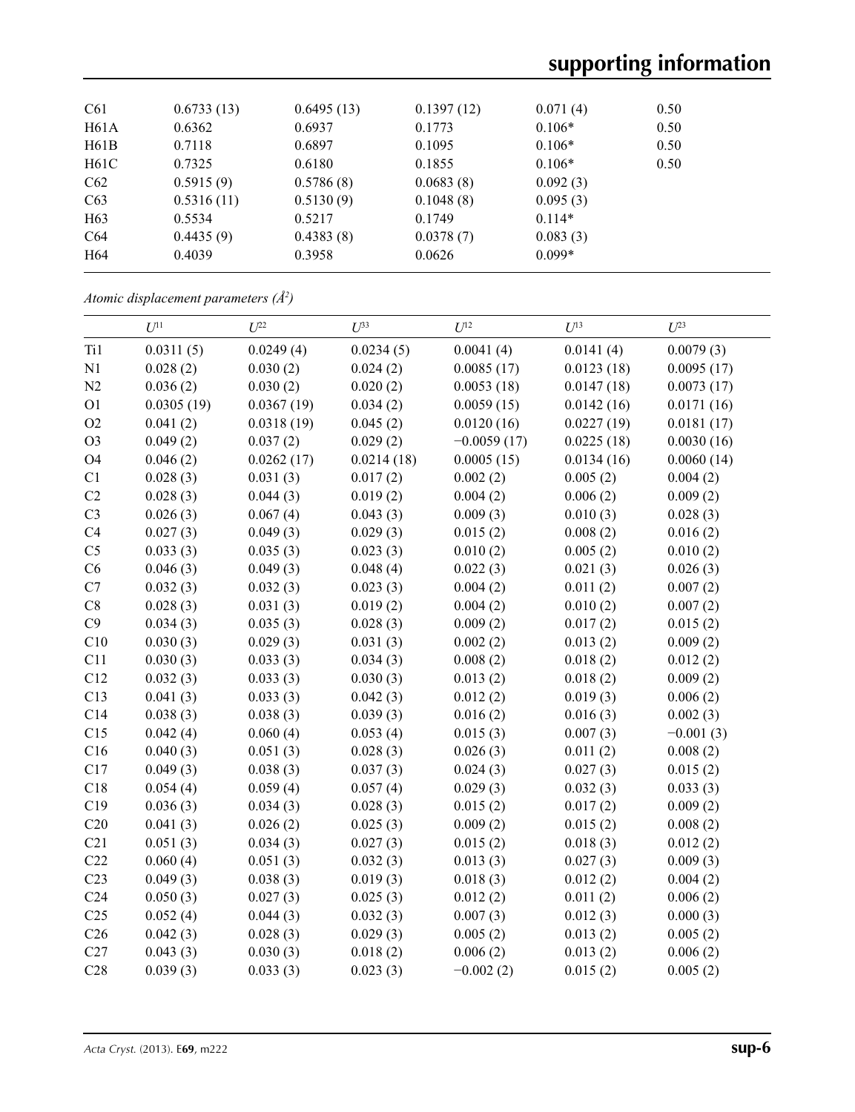| C61             | 0.6733(13) | 0.6495(13) | 0.1397(12) | 0.071(4) | 0.50 |  |
|-----------------|------------|------------|------------|----------|------|--|
| H61A            | 0.6362     | 0.6937     | 0.1773     | $0.106*$ | 0.50 |  |
| H61B            | 0.7118     | 0.6897     | 0.1095     | $0.106*$ | 0.50 |  |
| H61C            | 0.7325     | 0.6180     | 0.1855     | $0.106*$ | 0.50 |  |
| C62             | 0.5915(9)  | 0.5786(8)  | 0.0683(8)  | 0.092(3) |      |  |
| C63             | 0.5316(11) | 0.5130(9)  | 0.1048(8)  | 0.095(3) |      |  |
| H <sub>63</sub> | 0.5534     | 0.5217     | 0.1749     | $0.114*$ |      |  |
| C64             | 0.4435(9)  | 0.4383(8)  | 0.0378(7)  | 0.083(3) |      |  |
| H <sub>64</sub> | 0.4039     | 0.3958     | 0.0626     | $0.099*$ |      |  |
|                 |            |            |            |          |      |  |

*Atomic displacement parameters (Å2 )*

|                 | $U^{11}$   | $U^{22}$   | $U^{33}$   | $U^{12}$      | $U^{13}$   | $U^{23}$    |
|-----------------|------------|------------|------------|---------------|------------|-------------|
| Ti1             | 0.0311(5)  | 0.0249(4)  | 0.0234(5)  | 0.0041(4)     | 0.0141(4)  | 0.0079(3)   |
| N1              | 0.028(2)   | 0.030(2)   | 0.024(2)   | 0.0085(17)    | 0.0123(18) | 0.0095(17)  |
| N2              | 0.036(2)   | 0.030(2)   | 0.020(2)   | 0.0053(18)    | 0.0147(18) | 0.0073(17)  |
| O <sub>1</sub>  | 0.0305(19) | 0.0367(19) | 0.034(2)   | 0.0059(15)    | 0.0142(16) | 0.0171(16)  |
| O2              | 0.041(2)   | 0.0318(19) | 0.045(2)   | 0.0120(16)    | 0.0227(19) | 0.0181(17)  |
| O <sub>3</sub>  | 0.049(2)   | 0.037(2)   | 0.029(2)   | $-0.0059(17)$ | 0.0225(18) | 0.0030(16)  |
| <b>O4</b>       | 0.046(2)   | 0.0262(17) | 0.0214(18) | 0.0005(15)    | 0.0134(16) | 0.0060(14)  |
| C1              | 0.028(3)   | 0.031(3)   | 0.017(2)   | 0.002(2)      | 0.005(2)   | 0.004(2)    |
| C2              | 0.028(3)   | 0.044(3)   | 0.019(2)   | 0.004(2)      | 0.006(2)   | 0.009(2)    |
| C <sub>3</sub>  | 0.026(3)   | 0.067(4)   | 0.043(3)   | 0.009(3)      | 0.010(3)   | 0.028(3)    |
| C4              | 0.027(3)   | 0.049(3)   | 0.029(3)   | 0.015(2)      | 0.008(2)   | 0.016(2)    |
| C <sub>5</sub>  | 0.033(3)   | 0.035(3)   | 0.023(3)   | 0.010(2)      | 0.005(2)   | 0.010(2)    |
| C6              | 0.046(3)   | 0.049(3)   | 0.048(4)   | 0.022(3)      | 0.021(3)   | 0.026(3)    |
| C7              | 0.032(3)   | 0.032(3)   | 0.023(3)   | 0.004(2)      | 0.011(2)   | 0.007(2)    |
| $\rm C8$        | 0.028(3)   | 0.031(3)   | 0.019(2)   | 0.004(2)      | 0.010(2)   | 0.007(2)    |
| C9              | 0.034(3)   | 0.035(3)   | 0.028(3)   | 0.009(2)      | 0.017(2)   | 0.015(2)    |
| C10             | 0.030(3)   | 0.029(3)   | 0.031(3)   | 0.002(2)      | 0.013(2)   | 0.009(2)    |
| C11             | 0.030(3)   | 0.033(3)   | 0.034(3)   | 0.008(2)      | 0.018(2)   | 0.012(2)    |
| C12             | 0.032(3)   | 0.033(3)   | 0.030(3)   | 0.013(2)      | 0.018(2)   | 0.009(2)    |
| C13             | 0.041(3)   | 0.033(3)   | 0.042(3)   | 0.012(2)      | 0.019(3)   | 0.006(2)    |
| C14             | 0.038(3)   | 0.038(3)   | 0.039(3)   | 0.016(2)      | 0.016(3)   | 0.002(3)    |
| C15             | 0.042(4)   | 0.060(4)   | 0.053(4)   | 0.015(3)      | 0.007(3)   | $-0.001(3)$ |
| C16             | 0.040(3)   | 0.051(3)   | 0.028(3)   | 0.026(3)      | 0.011(2)   | 0.008(2)    |
| C17             | 0.049(3)   | 0.038(3)   | 0.037(3)   | 0.024(3)      | 0.027(3)   | 0.015(2)    |
| C18             | 0.054(4)   | 0.059(4)   | 0.057(4)   | 0.029(3)      | 0.032(3)   | 0.033(3)    |
| C19             | 0.036(3)   | 0.034(3)   | 0.028(3)   | 0.015(2)      | 0.017(2)   | 0.009(2)    |
| C20             | 0.041(3)   | 0.026(2)   | 0.025(3)   | 0.009(2)      | 0.015(2)   | 0.008(2)    |
| C21             | 0.051(3)   | 0.034(3)   | 0.027(3)   | 0.015(2)      | 0.018(3)   | 0.012(2)    |
| C22             | 0.060(4)   | 0.051(3)   | 0.032(3)   | 0.013(3)      | 0.027(3)   | 0.009(3)    |
| C <sub>23</sub> | 0.049(3)   | 0.038(3)   | 0.019(3)   | 0.018(3)      | 0.012(2)   | 0.004(2)    |
| C <sub>24</sub> | 0.050(3)   | 0.027(3)   | 0.025(3)   | 0.012(2)      | 0.011(2)   | 0.006(2)    |
| C <sub>25</sub> | 0.052(4)   | 0.044(3)   | 0.032(3)   | 0.007(3)      | 0.012(3)   | 0.000(3)    |
| C <sub>26</sub> | 0.042(3)   | 0.028(3)   | 0.029(3)   | 0.005(2)      | 0.013(2)   | 0.005(2)    |
| C27             | 0.043(3)   | 0.030(3)   | 0.018(2)   | 0.006(2)      | 0.013(2)   | 0.006(2)    |
| C28             | 0.039(3)   | 0.033(3)   | 0.023(3)   | $-0.002(2)$   | 0.015(2)   | 0.005(2)    |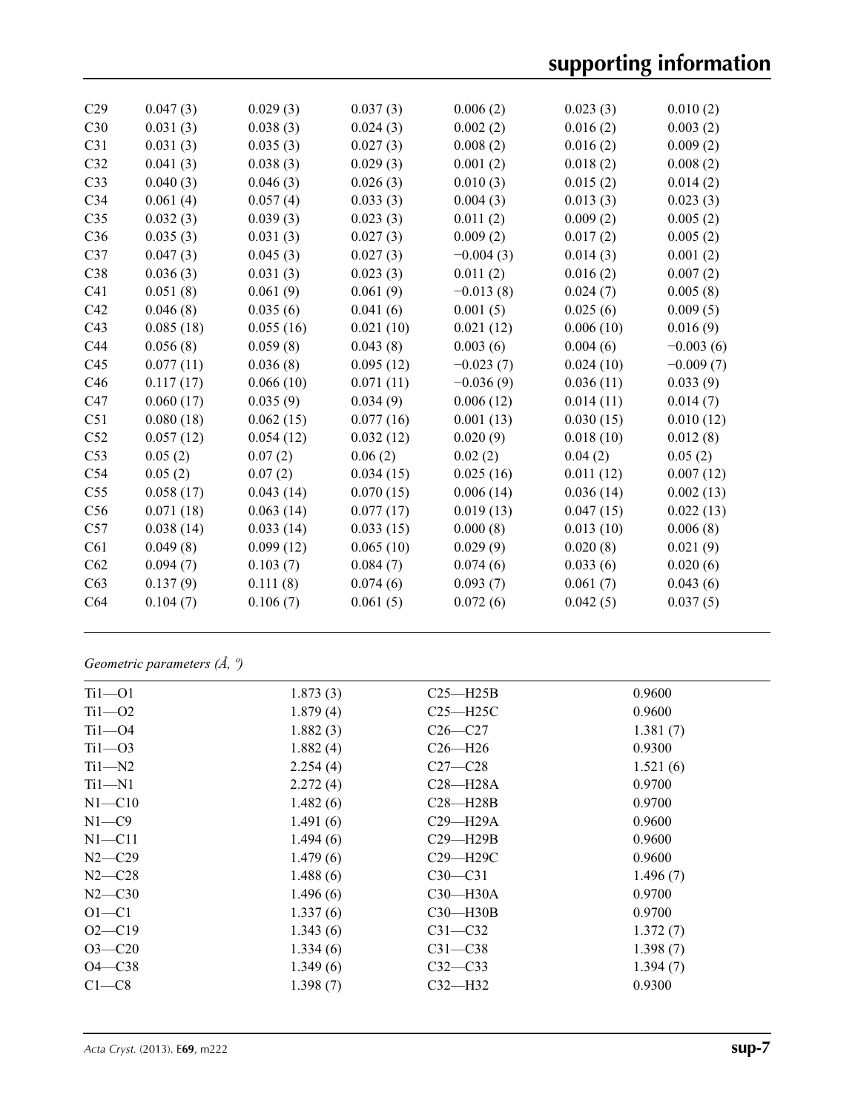# **supporting information**

| C29             | 0.047(3)  | 0.029(3)  | 0.037(3)  | 0.006(2)    | 0.023(3)  | 0.010(2)    |
|-----------------|-----------|-----------|-----------|-------------|-----------|-------------|
| C30             | 0.031(3)  | 0.038(3)  | 0.024(3)  | 0.002(2)    | 0.016(2)  | 0.003(2)    |
| C <sub>31</sub> | 0.031(3)  | 0.035(3)  | 0.027(3)  | 0.008(2)    | 0.016(2)  | 0.009(2)    |
| C <sub>32</sub> | 0.041(3)  | 0.038(3)  | 0.029(3)  | 0.001(2)    | 0.018(2)  | 0.008(2)    |
| C33             | 0.040(3)  | 0.046(3)  | 0.026(3)  | 0.010(3)    | 0.015(2)  | 0.014(2)    |
| C <sub>34</sub> | 0.061(4)  | 0.057(4)  | 0.033(3)  | 0.004(3)    | 0.013(3)  | 0.023(3)    |
| C <sub>35</sub> | 0.032(3)  | 0.039(3)  | 0.023(3)  | 0.011(2)    | 0.009(2)  | 0.005(2)    |
| C36             | 0.035(3)  | 0.031(3)  | 0.027(3)  | 0.009(2)    | 0.017(2)  | 0.005(2)    |
| C <sub>37</sub> | 0.047(3)  | 0.045(3)  | 0.027(3)  | $-0.004(3)$ | 0.014(3)  | 0.001(2)    |
| C38             | 0.036(3)  | 0.031(3)  | 0.023(3)  | 0.011(2)    | 0.016(2)  | 0.007(2)    |
| C <sub>41</sub> | 0.051(8)  | 0.061(9)  | 0.061(9)  | $-0.013(8)$ | 0.024(7)  | 0.005(8)    |
| C42             | 0.046(8)  | 0.035(6)  | 0.041(6)  | 0.001(5)    | 0.025(6)  | 0.009(5)    |
| C43             | 0.085(18) | 0.055(16) | 0.021(10) | 0.021(12)   | 0.006(10) | 0.016(9)    |
| C <sub>44</sub> | 0.056(8)  | 0.059(8)  | 0.043(8)  | 0.003(6)    | 0.004(6)  | $-0.003(6)$ |
| C <sub>45</sub> | 0.077(11) | 0.036(8)  | 0.095(12) | $-0.023(7)$ | 0.024(10) | $-0.009(7)$ |
| C46             | 0.117(17) | 0.066(10) | 0.071(11) | $-0.036(9)$ | 0.036(11) | 0.033(9)    |
| C47             | 0.060(17) | 0.035(9)  | 0.034(9)  | 0.006(12)   | 0.014(11) | 0.014(7)    |
| C51             | 0.080(18) | 0.062(15) | 0.077(16) | 0.001(13)   | 0.030(15) | 0.010(12)   |
| C52             | 0.057(12) | 0.054(12) | 0.032(12) | 0.020(9)    | 0.018(10) | 0.012(8)    |
| C53             | 0.05(2)   | 0.07(2)   | 0.06(2)   | 0.02(2)     | 0.04(2)   | 0.05(2)     |
| C54             | 0.05(2)   | 0.07(2)   | 0.034(15) | 0.025(16)   | 0.011(12) | 0.007(12)   |
| C <sub>55</sub> | 0.058(17) | 0.043(14) | 0.070(15) | 0.006(14)   | 0.036(14) | 0.002(13)   |
| C56             | 0.071(18) | 0.063(14) | 0.077(17) | 0.019(13)   | 0.047(15) | 0.022(13)   |
| C57             | 0.038(14) | 0.033(14) | 0.033(15) | 0.000(8)    | 0.013(10) | 0.006(8)    |
| C61             | 0.049(8)  | 0.099(12) | 0.065(10) | 0.029(9)    | 0.020(8)  | 0.021(9)    |
| C62             | 0.094(7)  | 0.103(7)  | 0.084(7)  | 0.074(6)    | 0.033(6)  | 0.020(6)    |
| C63             | 0.137(9)  | 0.111(8)  | 0.074(6)  | 0.093(7)    | 0.061(7)  | 0.043(6)    |
| C64             | 0.104(7)  | 0.106(7)  | 0.061(5)  | 0.072(6)    | 0.042(5)  | 0.037(5)    |
|                 |           |           |           |             |           |             |

*Geometric parameters (Å, º)*

| $Ti1 - O1$ | 1.873(3) | $C25 - H25B$ | 0.9600   |
|------------|----------|--------------|----------|
| $Ti1 - O2$ | 1.879(4) | $C25 - H25C$ | 0.9600   |
| $Ti1 - O4$ | 1.882(3) | $C26-C27$    | 1.381(7) |
| $Ti1 - O3$ | 1.882(4) | $C26 - H26$  | 0.9300   |
| $Ti1 - N2$ | 2.254(4) | $C27-C28$    | 1.521(6) |
| $Ti1 - N1$ | 2.272(4) | $C28 - H28A$ | 0.9700   |
| $N1 - C10$ | 1.482(6) | $C28 - H28B$ | 0.9700   |
| $N1 - C9$  | 1.491(6) | $C29 - H29A$ | 0.9600   |
| $N1 - C11$ | 1.494(6) | $C29 - H29B$ | 0.9600   |
| $N2 - C29$ | 1.479(6) | C29-H29C     | 0.9600   |
| $N2 - C28$ | 1.488(6) | $C30-C31$    | 1.496(7) |
| $N2 - C30$ | 1.496(6) | $C30 - H30A$ | 0.9700   |
| $O1 - C1$  | 1.337(6) | $C30 - H30B$ | 0.9700   |
| $O2 - C19$ | 1.343(6) | $C31 - C32$  | 1.372(7) |
| $O3 - C20$ | 1.334(6) | $C31 - C38$  | 1.398(7) |
| $O4 - C38$ | 1.349(6) | $C32-C33$    | 1.394(7) |
| $C1-C8$    | 1.398(7) | $C32-H32$    | 0.9300   |
|            |          |              |          |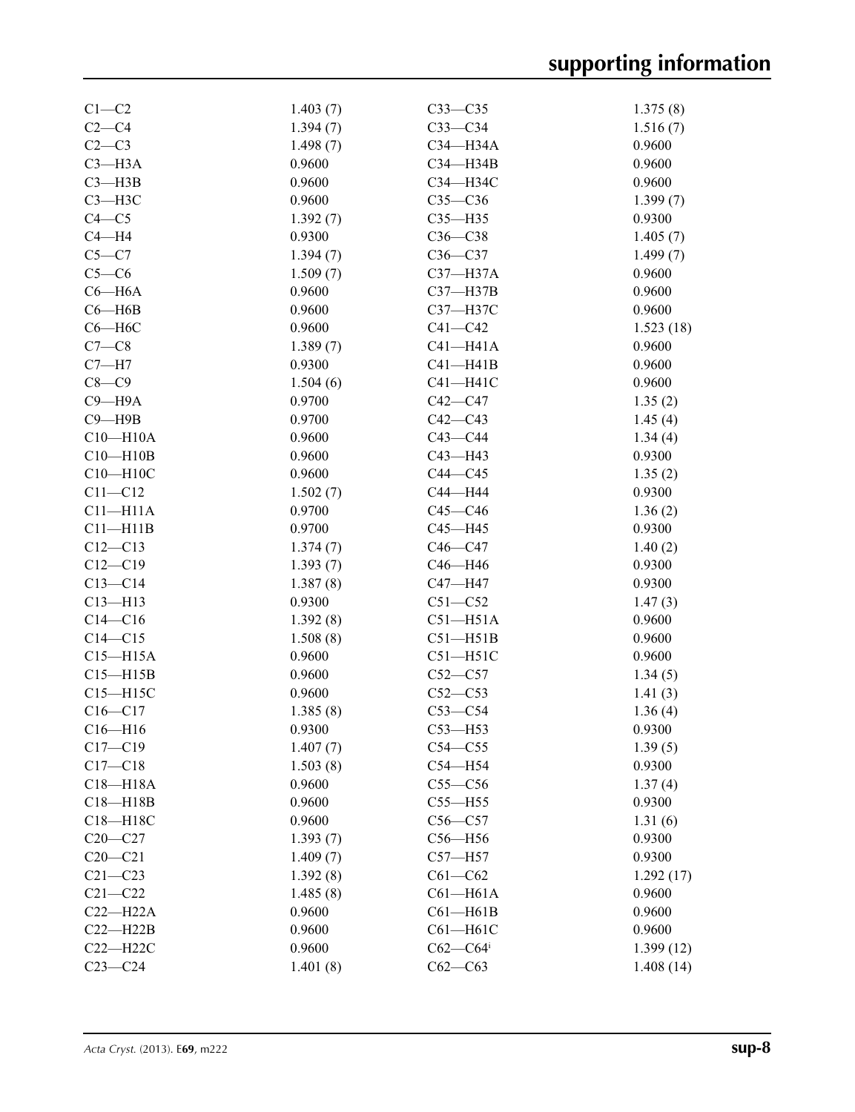| $C1-C2$      | 1.403(7) | $C33-C35$    | 1.375(8)  |
|--------------|----------|--------------|-----------|
| $C2-C4$      | 1.394(7) | $C33-C34$    | 1.516(7)  |
| $C2-C3$      | 1.498(7) | C34-H34A     | 0.9600    |
| $C3 - H3A$   | 0.9600   | C34-H34B     | 0.9600    |
| $C3 - H3B$   | 0.9600   | C34-H34C     | 0.9600    |
| $C3 - H3C$   | 0.9600   | $C35-C36$    | 1.399(7)  |
| $C4 - C5$    | 1.392(7) | $C35 - H35$  | 0.9300    |
| $C4 - H4$    | 0.9300   | $C36-C38$    | 1.405(7)  |
| $C5 - C7$    | 1.394(7) | $C36-C37$    | 1.499(7)  |
| $C5-C6$      | 1.509(7) | $C37 - H37A$ | 0.9600    |
| $C6 - H6A$   | 0.9600   | C37-H37B     | 0.9600    |
| $C6 - H6B$   | 0.9600   | C37-H37C     | 0.9600    |
| $C6 - H6C$   | 0.9600   | $C41 - C42$  | 1.523(18) |
| $C7-C8$      | 1.389(7) | $C41 - H41A$ | 0.9600    |
| $C7 - H7$    | 0.9300   | $C41 - H41B$ | 0.9600    |
| $C8-C9$      | 1.504(6) | $C41 - H41C$ | 0.9600    |
| $C9 - H9A$   | 0.9700   | $C42-C47$    | 1.35(2)   |
| $C9 - H9B$   | 0.9700   | $C42-C43$    | 1.45(4)   |
| $C10 - H10A$ | 0.9600   | $C43 - C44$  | 1.34(4)   |
| $C10 - H10B$ | 0.9600   | $C43 - H43$  | 0.9300    |
| $C10 - H10C$ | 0.9600   | $C44-C45$    | 1.35(2)   |
| $C11 - C12$  | 1.502(7) | C44-H44      | 0.9300    |
| $C11 - H11A$ | 0.9700   | $C45 - C46$  |           |
|              | 0.9700   |              | 1.36(2)   |
| $C11 - H11B$ |          | C45-H45      | 0.9300    |
| $C12 - C13$  | 1.374(7) | $C46-C47$    | 1.40(2)   |
| $C12 - C19$  | 1.393(7) | C46-H46      | 0.9300    |
| $C13 - C14$  | 1.387(8) | C47-H47      | 0.9300    |
| $C13 - H13$  | 0.9300   | $C51 - C52$  | 1.47(3)   |
| $C14-C16$    | 1.392(8) | $C51 - H51A$ | 0.9600    |
| $C14 - C15$  | 1.508(8) | $C51 - H51B$ | 0.9600    |
| $C15 - H15A$ | 0.9600   | $C51 - H51C$ | 0.9600    |
| $C15 - H15B$ | 0.9600   | $C52-C57$    | 1.34(5)   |
| $C15 - H15C$ | 0.9600   | $C52-C53$    | 1.41(3)   |
| $C16-C17$    | 1.385(8) | $C53-C54$    | 1.36(4)   |
| $C16 - H16$  | 0.9300   | $C53$ —H53   | 0.9300    |
| $C17 - C19$  | 1.407(7) | $C54 - C55$  | 1.39(5)   |
| $C17 - C18$  | 1.503(8) | $C54 - H54$  | 0.9300    |
| $C18 - H18A$ | 0.9600   | $C55-C56$    | 1.37(4)   |
| $C18 - H18B$ | 0.9600   | $C55 - H55$  | 0.9300    |
| C18-H18C     | 0.9600   | $C56-C57$    | 1.31(6)   |
| $C20-C27$    | 1.393(7) | $C56 - H56$  | 0.9300    |
| $C20-C21$    | 1.409(7) | $C57 - H57$  | 0.9300    |
| $C21 - C23$  | 1.392(8) | $C61 - C62$  | 1.292(17) |
| $C21 - C22$  | 1.485(8) | $C61 - H61A$ | 0.9600    |
| $C22-H22A$   | 0.9600   | $C61 - H61B$ | 0.9600    |
| $C22 - H22B$ | 0.9600   | $C61 - H61C$ | 0.9600    |
| $C22 - H22C$ | 0.9600   | $C62-C64$    | 1.399(12) |
| $C23-C24$    | 1.401(8) | $C62-C63$    | 1.408(14) |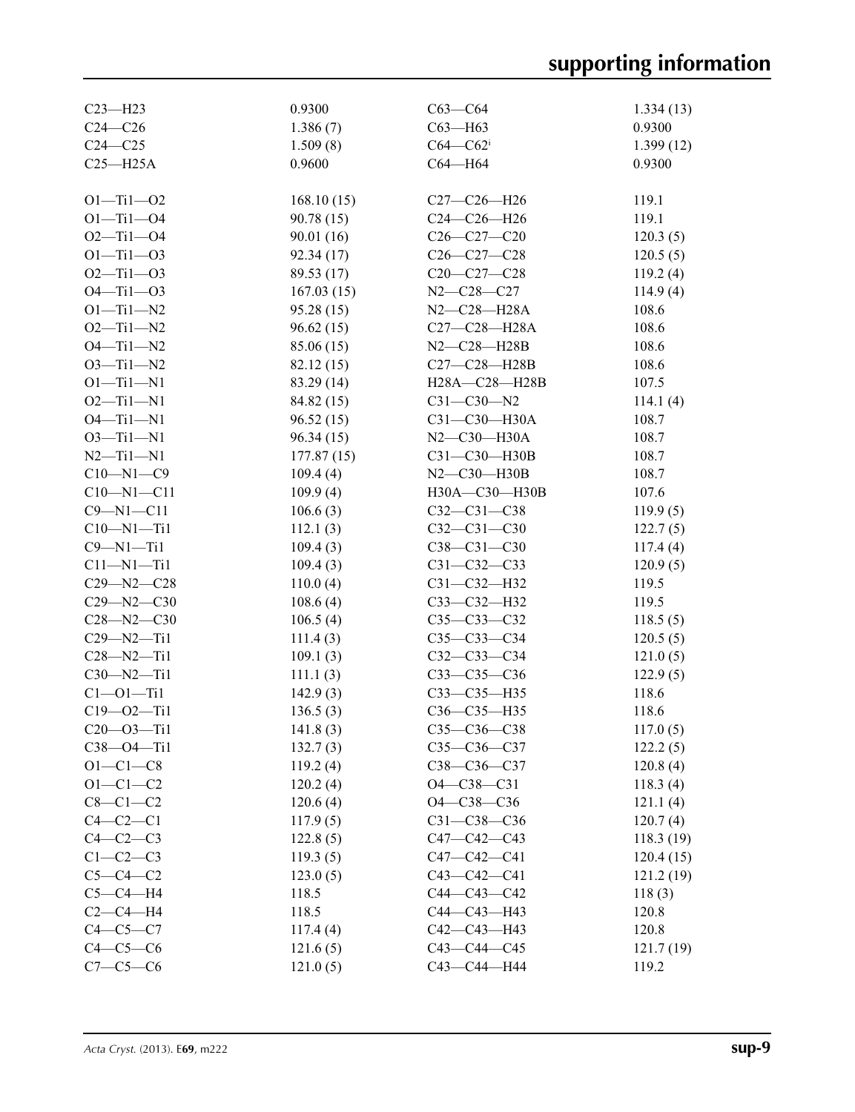| $C23 - H23$      | 0.9300     | $C63-C64$         | 1.334(13) |
|------------------|------------|-------------------|-----------|
| $C24-C26$        | 1.386(7)   | $C63 - H63$       | 0.9300    |
| $C24 - C25$      | 1.509(8)   | $C64 - C62$       | 1.399(12) |
| $C25 - H25A$     | 0.9600     | C64-H64           | 0.9300    |
|                  |            |                   |           |
| $O1 - Ti1 - O2$  | 168.10(15) | $C27-C26-H26$     | 119.1     |
| $O1 - Ti1 - O4$  | 90.78(15)  | $C24-C26-H26$     | 119.1     |
| $O2 - Ti1 - O4$  | 90.01(16)  | $C26 - C27 - C20$ | 120.3(5)  |
| $O1 - Ti1 - O3$  | 92.34(17)  | $C26 - C27 - C28$ | 120.5(5)  |
| $O2 - Ti1 - O3$  | 89.53 (17) | $C20-C27-C28$     | 119.2(4)  |
| $O4 - Ti1 - O3$  | 167.03(15) | N2-C28-C27        | 114.9(4)  |
| $O1 - Ti1 - N2$  | 95.28(15)  | N2-C28-H28A       | 108.6     |
| $O2 - Ti1 - N2$  | 96.62(15)  | C27-C28-H28A      | 108.6     |
| $O4 - Ti1 - N2$  | 85.06 (15) | $N2-C28-H28B$     | 108.6     |
| $O3 - Ti1 - N2$  | 82.12(15)  | C27-C28-H28B      | 108.6     |
| $O1 - Ti1 - N1$  | 83.29 (14) | H28A-C28-H28B     | 107.5     |
| $O2 - Ti1 - N1$  | 84.82 (15) | $C31 - C30 - N2$  | 114.1(4)  |
| $O4 - Ti1 - N1$  | 96.52(15)  | $C31-C30-H30A$    | 108.7     |
| $O3 - Ti1 - N1$  | 96.34(15)  | $N2$ –C30–H30A    | 108.7     |
| $N2 - Ti1 - N1$  | 177.87(15) | $C31-C30-H30B$    | 108.7     |
| $C10 - N1 - C9$  | 109.4(4)   | $N2-C30-H30B$     | 108.7     |
| $C10 - N1 - C11$ | 109.9(4)   | H30A-C30-H30B     | 107.6     |
| $C9 - N1 - C11$  | 106.6(3)   | $C32 - C31 - C38$ | 119.9(5)  |
| $C10 - N1 - Ti1$ | 112.1(3)   | $C32 - C31 - C30$ | 122.7(5)  |
| $C9 - N1 - Ti1$  | 109.4(3)   | $C38 - C31 - C30$ | 117.4(4)  |
| $C11 - N1 - Ti1$ | 109.4(3)   | $C31 - C32 - C33$ | 120.9(5)  |
| $C29 - N2 - C28$ | 110.0(4)   | $C31 - C32 - H32$ | 119.5     |
| $C29 - N2 - C30$ | 108.6(4)   | C33-C32-H32       | 119.5     |
| $C28 - N2 - C30$ | 106.5(4)   | $C35 - C33 - C32$ | 118.5(5)  |
| $C29 - N2 - Ti1$ | 111.4(3)   | $C35 - C33 - C34$ | 120.5(5)  |
| $C28 - N2 - Ti1$ | 109.1(3)   | $C32 - C33 - C34$ | 121.0(5)  |
| $C30 - N2 - Ti1$ | 111.1(3)   | $C33 - C35 - C36$ | 122.9(5)  |
| $C1 - 01 - Ti1$  | 142.9(3)   | C33-C35-H35       | 118.6     |
| $C19 - 02 - Ti1$ | 136.5(3)   | C36-C35-H35       | 118.6     |
| $C20 - 03 - Ti1$ | 141.8(3)   | $C35 - C36 - C38$ | 117.0(5)  |
| $C38 - 04 - Ti1$ | 132.7(3)   | $C35 - C36 - C37$ | 122.2(5)  |
| $O1 - C1 - C8$   | 119.2(4)   | C38-C36-C37       | 120.8(4)  |
| $O1 - C1 - C2$   | 120.2(4)   | $O4 - C38 - C31$  | 118.3(4)  |
| $C8-C1-C2$       | 120.6(4)   | O4-C38-C36        | 121.1(4)  |
| $C4-C2-C1$       | 117.9(5)   | $C31 - C38 - C36$ | 120.7(4)  |
| $C4-C2-C3$       | 122.8(5)   | $C47 - C42 - C43$ | 118.3(19) |
| $C1-C2-C3$       | 119.3(5)   | C47-C42-C41       | 120.4(15) |
| $C5-C4-C2$       | 123.0(5)   | $C43 - C42 - C41$ | 121.2(19) |
| $C5-C4-H4$       | 118.5      | $C44 - C43 - C42$ | 118(3)    |
| $C2-C4-H4$       | 118.5      | C44-C43-H43       | 120.8     |
| $C4-C5-C7$       | 117.4(4)   | C42-C43-H43       | 120.8     |
| $C4-C5-C6$       | 121.6(5)   | $C43 - C44 - C45$ | 121.7(19) |
| $C7-C5-C6$       | 121.0(5)   | C43-C44-H44       | 119.2     |
|                  |            |                   |           |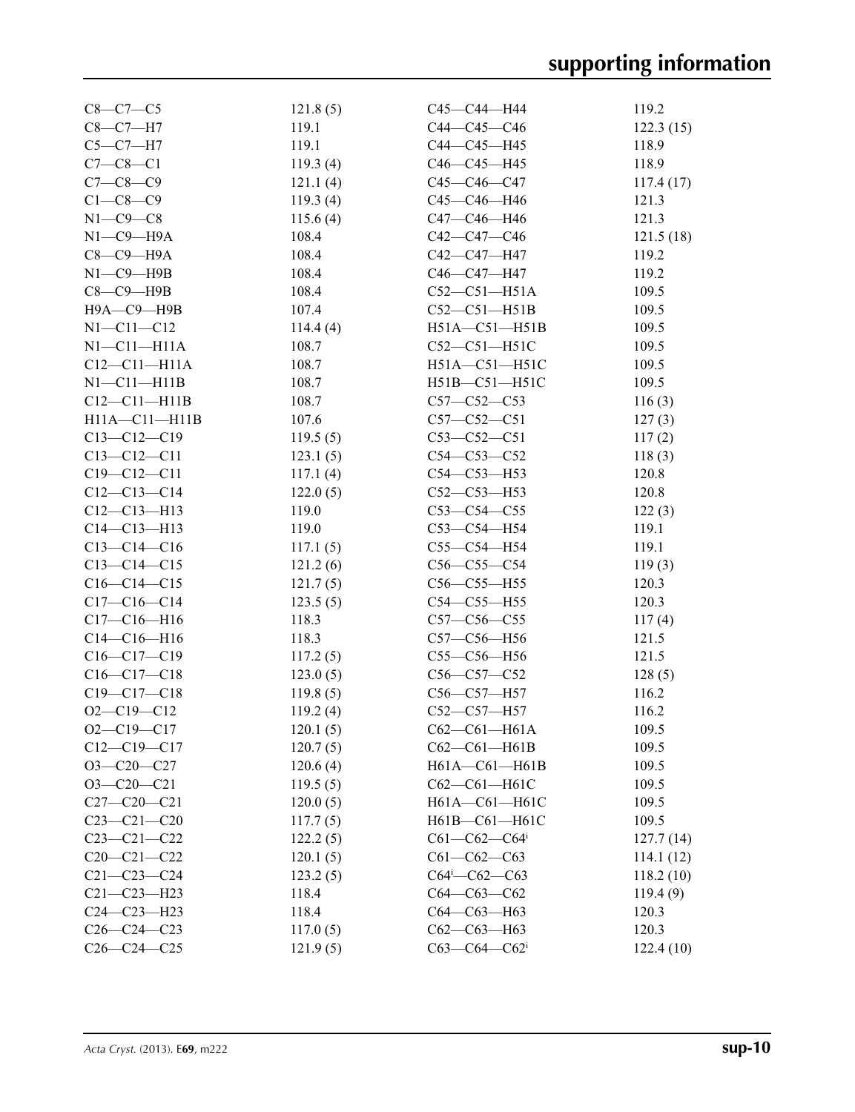| $C8 - C7 - C5$      | 121.8(5)    | C45—C44—H44                        | 119.2           |
|---------------------|-------------|------------------------------------|-----------------|
| $C8 - C7 - H7$      | 119.1       | C44-C45-C46                        | 122.3(15)       |
| $C5-C7-H7$          | 119.1       | C44-C45-H45                        | 118.9           |
| $C7 - C8 - C1$      | 119.3(4)    | C46-C45-H45                        | 118.9           |
| $C7 - C8 - C9$      | 121.1(4)    | C45-C46-C47                        | 117.4(17)       |
| $C1-C8-C9$          | 119.3(4)    | C45-C46-H46                        | 121.3           |
| $N1-C9-C8$          | 115.6(4)    | C47—C46—H46                        | 121.3           |
| $N1$ — $C9$ — $H9A$ | 108.4       | C42—C47—C46                        | 121.5(18)       |
| $C8-C9-H9A$         | 108.4       | C42—C47—H47                        | 119.2           |
| $N1-C9-$ H9B        | 108.4       | C46—C47—H47                        | 119.2           |
| $C8-C9-$ H9B        | 108.4       | $C52-C51-H51A$                     | 109.5           |
| Н9А-С9-Н9В          | 107.4       | $C52-C51-H51B$                     | 109.5           |
| $N1 - C11 - C12$    | 114.4 $(4)$ | $H51A - C51 - H51B$                | 109.5           |
| $N1-C11-H11A$       | 108.7       | $C52-C51-H51C$                     | 109.5           |
| $C12 - C11 - H11A$  | 108.7       | $H51A - C51 - H51C$                | 109.5           |
| $N1 - C11 - H11B$   | 108.7       | $H51B - C51 - H51C$                | 109.5           |
| $C12-C11-H11B$      | 108.7       | $C57 - C52 - C53$                  | 116(3)          |
| $H11A - C11 - H11B$ | 107.6       | $C57 - C52 - C51$                  | 127(3)          |
| $C13 - C12 - C19$   | 119.5(5)    | $C53-C52-C51$                      | 117(2)          |
| $C13 - C12 - C11$   | 123.1(5)    | $C54 - C53 - C52$                  | 118(3)          |
| $C19 - C12 - C11$   | 117.1(4)    | $C54 - C53 - H53$                  | 120.8           |
| $C12-C13-C14$       | 122.0(5)    | $C52 - C53 - H53$                  | 120.8           |
| $C12 - C13 - H13$   | 119.0       | $C53-C54-C55$                      | 122(3)          |
| $C14 - C13 - H13$   | 119.0       | C53-C54-H54                        | 119.1           |
| $C13-C14-C16$       | 117.1(5)    | C55-C54-H54                        | 119.1           |
| $C13 - C14 - C15$   | 121.2(6)    | $C56-C55-C54$                      | 119(3)          |
| $C16-C14-C15$       | 121.7(5)    | $C56-C55-H55$                      | 120.3           |
| $C17-C16-C14$       | 123.5(5)    | $C54 - C55 - H55$                  | 120.3           |
| $C17 - C16 - H16$   | 118.3       | $C57 - C56 - C55$                  | 117(4)          |
| $C14-C16-H16$       | 118.3       | C57-C56-H56                        | 121.5           |
| $C16-C17-C19$       | 117.2(5)    | $C55-C56-H56$                      | 121.5           |
| $C16-C17-C18$       | 123.0(5)    | $C56 - C57 - C52$                  |                 |
| $C19 - C17 - C18$   | 119.8(5)    | $C56 - C57 - H57$                  | 128(5)<br>116.2 |
| $O2 - C19 - C12$    | 119.2(4)    | C52-C57-H57                        | 116.2           |
| $O2 - C19 - C17$    | 120.1(5)    |                                    | 109.5           |
|                     |             | $C62 - C61 - H61A$                 |                 |
| $C12-C19-C17$       | 120.7(5)    | $C62-C61-H61B$                     | 109.5           |
| $O3-C20-C27$        | 120.6(4)    | H61A-C61-H61B                      | 109.5           |
| $O3-C20-C21$        | 119.5(5)    | C62-C61-H61C                       | 109.5           |
| $C27 - C20 - C21$   | 120.0(5)    | H61A-C61-H61C                      | 109.5           |
| $C23-C21-C20$       | 117.7(5)    | H61B-C61-H61C                      | 109.5           |
| $C23 - C21 - C22$   | 122.2(5)    | $C61 - C62 - C64$                  | 127.7(14)       |
| $C20 - C21 - C22$   | 120.1(5)    | $C61 - C62 - C63$                  | 114.1(12)       |
| $C21 - C23 - C24$   | 123.2(5)    | $C64$ <sup>i</sup> - $C62$ - $C63$ | 118.2(10)       |
| $C21 - C23 - H23$   | 118.4       | $C64-C63-C62$                      | 119.4(9)        |
| $C24 - C23 - H23$   | 118.4       | $C64 - C63 - H63$                  | 120.3           |
| $C26-C24-C23$       | 117.0(5)    | $C62-C63-H63$                      | 120.3           |
| $C26 - C24 - C25$   | 121.9(5)    | $C63-C64-C62$ <sup>i</sup>         | 122.4(10)       |